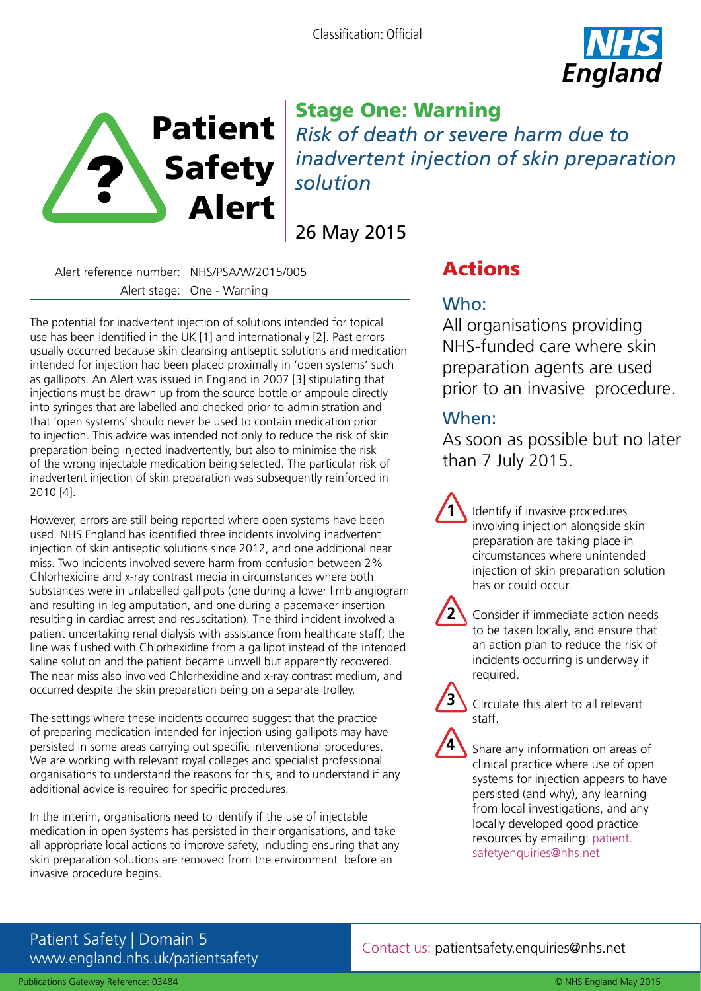



# Stage One: Warning *Risk of death or severe harm due to inadvertent injection of skin preparation solution*

26 May 2015

Alert reference number: NHS/PSA/W/2015/005 Alert stage: One - Warning

The potential for inadvertent injection of solutions intended for topical use has been identified in the UK [1] and internationally [2]. Past errors usually occurred because skin cleansing antiseptic solutions and medication intended for injection had been placed proximally in 'open systems' such as gallipots. An Alert was issued in England in 2007 [3] stipulating that injections must be drawn up from the source bottle or ampoule directly into syringes that are labelled and checked prior to administration and that 'open systems' should never be used to contain medication prior to injection. This advice was intended not only to reduce the risk of skin preparation being injected inadvertently, but also to minimise the risk of the wrong injectable medication being selected. The particular risk of inadvertent injection of skin preparation was subsequently reinforced in 2010 [4].

However, errors are still being reported where open systems have been used. NHS England has identified three incidents involving inadvertent injection of skin antiseptic solutions since 2012, and one additional near miss. Two incidents involved severe harm from confusion between 2% Chlorhexidine and x-ray contrast media in circumstances where both substances were in unlabelled gallipots (one during a lower limb angiogram and resulting in leg amputation, and one during a pacemaker insertion resulting in cardiac arrest and resuscitation). The third incident involved a patient undertaking renal dialysis with assistance from healthcare staff; the line was flushed with Chlorhexidine from a gallipot instead of the intended saline solution and the patient became unwell but apparently recovered. The near miss also involved Chlorhexidine and x-ray contrast medium, and occurred despite the skin preparation being on a separate trolley.

The settings where these incidents occurred suggest that the practice of preparing medication intended for injection using gallipots may have persisted in some areas carrying out specific interventional procedures. We are working with relevant royal colleges and specialist professional organisations to understand the reasons for this, and to understand if any additional advice is required for specific procedures.

In the interim, organisations need to identify if the use of injectable medication in open systems has persisted in their organisations, and take all appropriate local actions to improve safety, including ensuring that any skin preparation solutions are removed from the environment before an invasive procedure begins.

# Actions

# Who:

All organisations providing NHS-funded care where skin preparation agents are used prior to an invasive procedure.

## When:

**1**

**2**

**3**

**4**

As soon as possible but no later than 7 July 2015.

> Identify if invasive procedures involving injection alongside skin preparation are taking place in circumstances where unintended injection of skin preparation solution has or could occur.

- Consider if immediate action needs to be taken locally, and ensure that an action plan to reduce the risk of incidents occurring is underway if required.
- Circulate this alert to all relevant staff.
- Share any information on areas of clinical practice where use of open systems for injection appears to have persisted (and why), any learning from local investigations, and any locally developed good practice resources by emailing: patient. safetyenquiries@nhs.net

## Patient Safety | Domain 5 www.england.nhs.uk/patientsafety

### Contact us: patientsafety.enquiries@nhs.net

Publications Gateway Reference: 03484